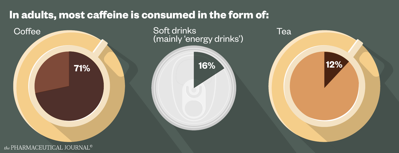### **In adults, most caffeine is consumed in the form of:**

Coffee

the PHARMACEUTICAL JOURNAL<sup>®</sup>



## (mainly 'energy drinks')

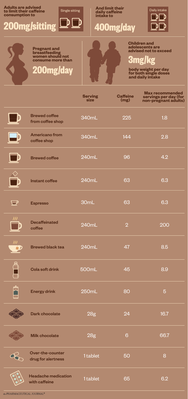**Adults are advised to limit their caffeine consumption to**

**And limit their daily caffeine intake to**

**Children and adolescents are advised not to exceed**

**body weight per day for both single doses and daily intake**

**Serving** 

**Pregnant and breastfeeding women should not consume more than** 

|                                          | size  | (mg) | non-pregnant adults) |
|------------------------------------------|-------|------|----------------------|
| <b>Brewed coffee</b><br>from coffee shop | 340mL | 225  | 1.8                  |
| <b>Americano from</b><br>coffee shop     | 340mL | 144  | 2.8                  |
| <b>Brewed coffee</b>                     | 240mL | 96   | 4.2                  |
| Instant coffee                           | 240mL | 63   | 6.3                  |

Single sitting

# **3mg/kg**

# **200mg/sitting 400mg/day**

**Caffeine** 

**Max recommended servings per day (for** 

|                          | <b>Espresso</b>                | 30mL  | 63             | 6.3 |
|--------------------------|--------------------------------|-------|----------------|-----|
| $\mathcal{W}$            | <b>Decaffeinated</b><br>coffee | 240mL | $\overline{2}$ | 200 |
| $\overline{\mathcal{W}}$ | <b>Brewed black tea</b>        | 240mL | 47             | 8.5 |
| $\bigoplus$              | <b>Cola soft drink</b>         | 500mL | 45             | 8.9 |
|                          | <b>Energy drink</b>            | 250mL | 80             |     |

|     | <b>Dark chocolate</b>                       | <b>28g</b> | 24 | 16.7 |
|-----|---------------------------------------------|------------|----|------|
|     | <b>Milk chocolate</b>                       | <b>28g</b> | 6  | 66.7 |
|     | Over-the-counter<br>drug for alertness      | 1 tablet   | 50 | 8    |
| 000 | <b>Headache medication</b><br>with caffeine | 1 tablet   | 65 | 6.2  |

the PHARMACEUTICAL JOURNAL<sup>®</sup>

**200mg/day**



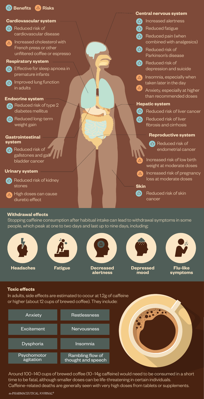### **Central nervous system**

Reduced fatigue  $\begin{array}{c} \mathbb{R}^n \end{array}$ Reduced pain (when  $\begin{array}{c} \mathbb{R}^n \setminus \mathbb{R}^n \end{array}$ 

> Reduced risk of depression and suicide

- combined with analgesics) Reduced risk of  $\Box$ 
	- Parkinson's disease





Reduced risk of liver  $\begin{pmatrix} 1 \\ 1 \\ 2 \end{pmatrix}$ fibrosis and cirrhosis



### **Cardiovascular system** Increased alertness



Reduced long-term  $d$ weight gain

- $\begin{pmatrix} 1 \\ 1 \\ 2 \end{pmatrix}$
- Effective for sleep apnoea in premature infants
- Insomnia, especially when  $\triangle$ taken later in the day
	- Anxiety, especially at higher than recommended doses

- Reduced risk of  $\begin{pmatrix} 1 \\ -1 \end{pmatrix}$ cardiovascular disease
- Increased cholesterol with  $\triangle$ French press or other unfiltered coffee or espresso

Reduced risk of endometrial cancer

Increased risk of low birth weight at moderate doses

Increased risk of pregnancy loss at moderate doses



 $\sqrt{2}$ 

Reduced risk of skin

### **Hepatic system**

### **Reproductive system**

**Endocrine system** 

### Improved lung function  $\begin{bmatrix} 1 \\ 1 \\ 2 \end{bmatrix}$ in adults

### **Respiratory system**

Reduced risk of gallstones and gall bladder cancer

### **Gastrointestinal system**



### Reduced risk of kidney  $\begin{pmatrix} 1 \\ 1 \end{pmatrix}$ stones

High doses can cause diuretic effect

### **Urinary system**

### **Withdrawal effects**

Stopping caffeine consumption after habitual intake can lead to withdrawal symptoms in some people, which peak at one to two days and last up to nine days, including:

### **Toxic effects**

In adults, side effects are estimated to occur at 1.2g of caffeine



or higher (about 12 cups of brewed coffee). They include:



| Anxiety                  | <b>Restlessness</b>                           |
|--------------------------|-----------------------------------------------|
| Excitement               | Nervousness                                   |
| Dysphoria                | Insomnia                                      |
| Psychomotor<br>agitation | <b>Rambling flow of</b><br>thought and speech |

Around 100–140 cups of brewed coffee (10–14g caffeine) would need to be consumed in a short time to be fatal, although smaller doses can be life-threatening in certain individuals. Caffeine-related deaths are generally seen with very high doses from tablets or supplements.

the PHARMACEUTICAL JOURNAL<sup>®</sup>